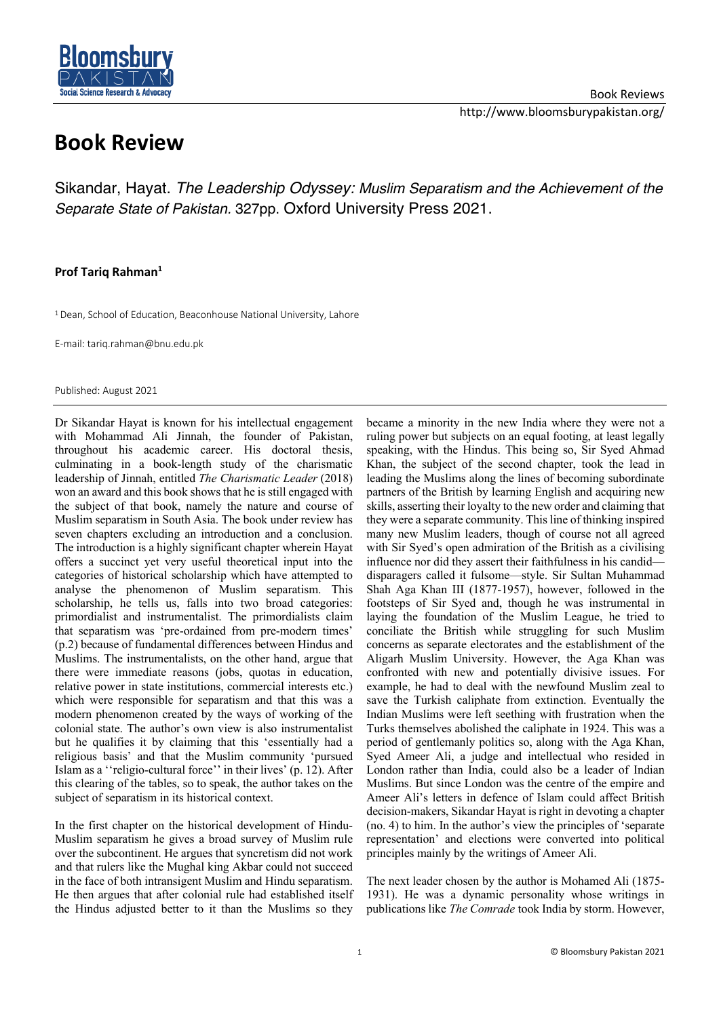

## **Book Review**

Sikandar, Hayat. *The Leadership Odyssey: Muslim Separatism and the Achievement of the Separate State of Pakistan.* 327pp. Oxford University Press 2021.

## **Prof Tariq Rahman1**

<sup>1</sup> Dean, School of Education, Beaconhouse National University, Lahore

E-mail: tariq.rahman@bnu.edu.pk

Published: August 2021

Dr Sikandar Hayat is known for his intellectual engagement with Mohammad Ali Jinnah, the founder of Pakistan, throughout his academic career. His doctoral thesis, culminating in a book-length study of the charismatic leadership of Jinnah, entitled *The Charismatic Leader* (2018) won an award and this book shows that he is still engaged with the subject of that book, namely the nature and course of Muslim separatism in South Asia. The book under review has seven chapters excluding an introduction and a conclusion. The introduction is a highly significant chapter wherein Hayat offers a succinct yet very useful theoretical input into the categories of historical scholarship which have attempted to analyse the phenomenon of Muslim separatism. This scholarship, he tells us, falls into two broad categories: primordialist and instrumentalist. The primordialists claim that separatism was 'pre-ordained from pre-modern times' (p.2) because of fundamental differences between Hindus and Muslims. The instrumentalists, on the other hand, argue that there were immediate reasons (jobs, quotas in education, relative power in state institutions, commercial interests etc.) which were responsible for separatism and that this was a modern phenomenon created by the ways of working of the colonial state. The author's own view is also instrumentalist but he qualifies it by claiming that this 'essentially had a religious basis' and that the Muslim community 'pursued Islam as a ''religio-cultural force'' in their lives' (p. 12). After this clearing of the tables, so to speak, the author takes on the subject of separatism in its historical context.

In the first chapter on the historical development of Hindu-Muslim separatism he gives a broad survey of Muslim rule over the subcontinent. He argues that syncretism did not work and that rulers like the Mughal king Akbar could not succeed in the face of both intransigent Muslim and Hindu separatism. He then argues that after colonial rule had established itself the Hindus adjusted better to it than the Muslims so they became a minority in the new India where they were not a ruling power but subjects on an equal footing, at least legally speaking, with the Hindus. This being so, Sir Syed Ahmad Khan, the subject of the second chapter, took the lead in leading the Muslims along the lines of becoming subordinate partners of the British by learning English and acquiring new skills, asserting their loyalty to the new order and claiming that they were a separate community. This line of thinking inspired many new Muslim leaders, though of course not all agreed with Sir Syed's open admiration of the British as a civilising influence nor did they assert their faithfulness in his candid disparagers called it fulsome—style. Sir Sultan Muhammad Shah Aga Khan III (1877-1957), however, followed in the footsteps of Sir Syed and, though he was instrumental in laying the foundation of the Muslim League, he tried to conciliate the British while struggling for such Muslim concerns as separate electorates and the establishment of the Aligarh Muslim University. However, the Aga Khan was confronted with new and potentially divisive issues. For example, he had to deal with the newfound Muslim zeal to save the Turkish caliphate from extinction. Eventually the Indian Muslims were left seething with frustration when the Turks themselves abolished the caliphate in 1924. This was a period of gentlemanly politics so, along with the Aga Khan, Syed Ameer Ali, a judge and intellectual who resided in London rather than India, could also be a leader of Indian Muslims. But since London was the centre of the empire and Ameer Ali's letters in defence of Islam could affect British decision-makers, Sikandar Hayat is right in devoting a chapter (no. 4) to him. In the author's view the principles of 'separate representation' and elections were converted into political principles mainly by the writings of Ameer Ali.

The next leader chosen by the author is Mohamed Ali (1875- 1931). He was a dynamic personality whose writings in publications like *The Comrade* took India by storm. However,